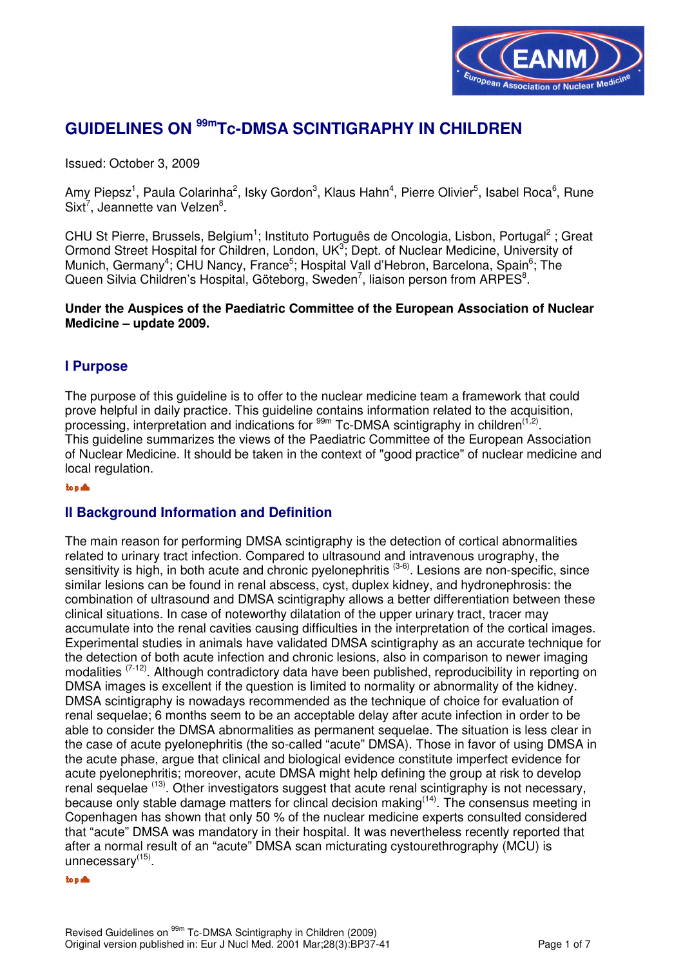

# **GUIDELINES ON 99mTc-DMSA SCINTIGRAPHY IN CHILDREN**

Issued: October 3, 2009

Amy Piepsz<sup>1</sup>, Paula Colarinha<sup>2</sup>, Isky Gordon<sup>3</sup>, Klaus Hahn<sup>4</sup>, Pierre Olivier<sup>5</sup>, Isabel Roca<sup>6</sup>, Rune Sixt<sup>7</sup>, Jeannette van Velzen<sup>8</sup>.

CHU St Pierre, Brussels, Belgium<sup>1</sup>; Instituto Português de Oncologia, Lisbon, Portugal<sup>2</sup>; Great Ormond Street Hospital for Children, London, UK<sup>3</sup>; Dept. of Nuclear Medicine, University of Munich, Germany<sup>4</sup>; CHU Nancy, France<sup>5</sup>; Hospital Vall d'Hebron, Barcelona, Spain<sup>6</sup>; The Queen Silvia Children's Hospital, Göteborg, Sweden<sup>7</sup>, liaison person from ARPES<sup>8</sup>.

**Under the Auspices of the Paediatric Committee of the European Association of Nuclear Medicine – update 2009.** 

## **I Purpose**

The purpose of this guideline is to offer to the nuclear medicine team a framework that could prove helpful in daily practice. This guideline contains information related to the acquisition, processing, interpretation and indications for  $99m$  Tc-DMSA scintigraphy in children<sup>(1,2)</sup>. This guideline summarizes the views of the Paediatric Committee of the European Association of Nuclear Medicine. It should be taken in the context of "good practice" of nuclear medicine and local regulation.

#### top &

## **II Background Information and Definition**

The main reason for performing DMSA scintigraphy is the detection of cortical abnormalities related to urinary tract infection. Compared to ultrasound and intravenous urography, the sensitivity is high, in both acute and chronic pyelonephritis <sup>(3-6)</sup>. Lesions are non-specific, since similar lesions can be found in renal abscess, cyst, duplex kidney, and hydronephrosis: the combination of ultrasound and DMSA scintigraphy allows a better differentiation between these clinical situations. In case of noteworthy dilatation of the upper urinary tract, tracer may accumulate into the renal cavities causing difficulties in the interpretation of the cortical images. Experimental studies in animals have validated DMSA scintigraphy as an accurate technique for the detection of both acute infection and chronic lesions, also in comparison to newer imaging modalities <sup>(7-12)</sup>. Although contradictory data have been published, reproducibility in reporting on DMSA images is excellent if the question is limited to normality or abnormality of the kidney. DMSA scintigraphy is nowadays recommended as the technique of choice for evaluation of renal sequelae; 6 months seem to be an acceptable delay after acute infection in order to be able to consider the DMSA abnormalities as permanent sequelae. The situation is less clear in the case of acute pyelonephritis (the so-called "acute" DMSA). Those in favor of using DMSA in the acute phase, argue that clinical and biological evidence constitute imperfect evidence for acute pyelonephritis; moreover, acute DMSA might help defining the group at risk to develop renal sequelae <sup>(13)</sup>. Other investigators suggest that acute renal scintigraphy is not necessary, because only stable damage matters for clincal decision making <sup>(14)</sup>. The consensus meeting in Copenhagen has shown that only 50 % of the nuclear medicine experts consulted considered that "acute" DMSA was mandatory in their hospital. It was nevertheless recently reported that after a normal result of an "acute" DMSA scan micturating cystourethrography (MCU) is unnecessary<sup>(15)</sup>.

#### to  $p \triangleq$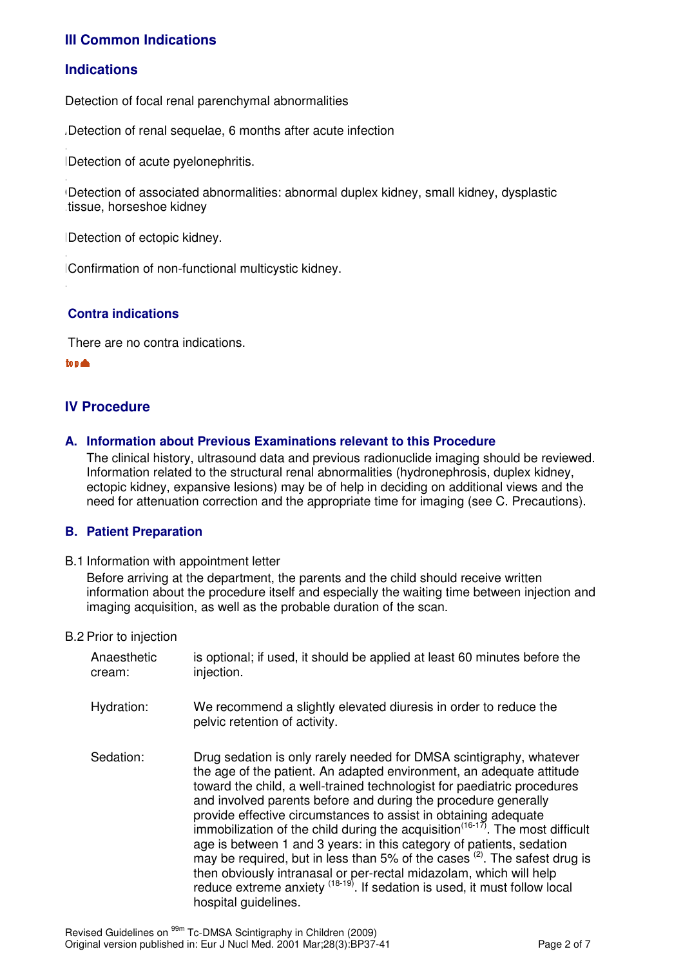## **III Common Indications**

## **Indications**

.

.

.

.

Detection of focal renal parenchymal abnormalities

Detection of renal sequelae, 6 months after acute infection

Detection of acute pyelonephritis.

Detection of associated abnormalities: abnormal duplex kidney, small kidney, dysplastic . tissue, horseshoe kidney

D Detection of ectopic kidney.

E Confirmation of non-functional multicystic kidney.

## **Contra indications**

There are no contra indications.

top ▲

## **IV Procedure**

**A. Information about Previous Examinations relevant to this Procedure**

 The clinical history, ultrasound data and previous radionuclide imaging should be reviewed. Information related to the structural renal abnormalities (hydronephrosis, duplex kidney, ectopic kidney, expansive lesions) may be of help in deciding on additional views and the need for attenuation correction and the appropriate time for imaging (see C. Precautions).

## **B. Patient Preparation**

B.1 Information with appointment letter

 Before arriving at the department, the parents and the child should receive written information about the procedure itself and especially the waiting time between injection and imaging acquisition, as well as the probable duration of the scan.

#### B.2 Prior to injection

| Anaesthetic<br>cream: | is optional; if used, it should be applied at least 60 minutes before the<br>injection.                                                                                                                                                                                                                                                                                                                                                                                                                                                                                                                                                                                                                                                                                                                   |
|-----------------------|-----------------------------------------------------------------------------------------------------------------------------------------------------------------------------------------------------------------------------------------------------------------------------------------------------------------------------------------------------------------------------------------------------------------------------------------------------------------------------------------------------------------------------------------------------------------------------------------------------------------------------------------------------------------------------------------------------------------------------------------------------------------------------------------------------------|
| Hydration:            | We recommend a slightly elevated diuresis in order to reduce the<br>pelvic retention of activity.                                                                                                                                                                                                                                                                                                                                                                                                                                                                                                                                                                                                                                                                                                         |
| Sedation:             | Drug sedation is only rarely needed for DMSA scintigraphy, whatever<br>the age of the patient. An adapted environment, an adequate attitude<br>toward the child, a well-trained technologist for paediatric procedures<br>and involved parents before and during the procedure generally<br>provide effective circumstances to assist in obtaining adequate<br>immobilization of the child during the acquisition <sup><math>(16-17)</math></sup> . The most difficult<br>age is between 1 and 3 years: in this category of patients, sedation<br>may be required, but in less than 5% of the cases $(2)$ . The safest drug is<br>then obviously intranasal or per-rectal midazolam, which will help<br>reduce extreme anxiety (18-19). If sedation is used, it must follow local<br>hospital guidelines. |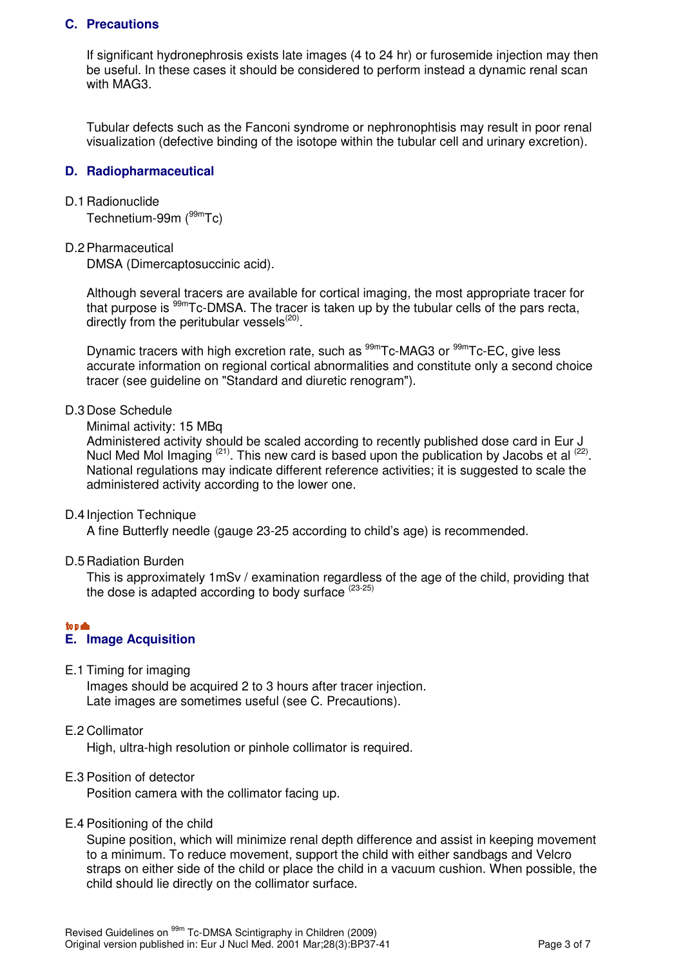## **C. Precautions**

 If significant hydronephrosis exists late images (4 to 24 hr) or furosemide injection may then be useful. In these cases it should be considered to perform instead a dynamic renal scan with MAG3.

Tubular defects such as the Fanconi syndrome or nephronophtisis may result in poor renal visualization (defective binding of the isotope within the tubular cell and urinary excretion).

## **D. Radiopharmaceutical**

#### D.1 Radionuclide

Technetium-99m (99mTc)

#### D.2 Pharmaceutical

DMSA (Dimercaptosuccinic acid).

Although several tracers are available for cortical imaging, the most appropriate tracer for that purpose is  $99m$ Tc-DMSA. The tracer is taken up by the tubular cells of the pars recta, directly from the peritubular vessels $^{(20)}$ .

Dynamic tracers with high excretion rate, such as  $99m$ Tc-MAG3 or  $99m$ Tc-EC, give less accurate information on regional cortical abnormalities and constitute only a second choice tracer (see guideline on "Standard and diuretic renogram").

#### D.3 Dose Schedule

#### Minimal activity: 15 MBq

Administered activity should be scaled according to recently published dose card in Eur J Nucl Med Mol Imaging  $(21)$ . This new card is based upon the publication by Jacobs et al  $(22)$ . National regulations may indicate different reference activities; it is suggested to scale the administered activity according to the lower one.

#### D.4 Injection Technique

A fine Butterfly needle (gauge 23-25 according to child's age) is recommended.

D.5 Radiation Burden

 This is approximately 1mSv / examination regardless of the age of the child, providing that the dose is adapted according to body surface  $(23-25)$ 

## to  $\triangle$

## **E. Image Acquisition**

E.1 Timing for imaging

 Images should be acquired 2 to 3 hours after tracer injection. Late images are sometimes useful (see C. Precautions).

#### E.2 Collimator

High, ultra-high resolution or pinhole collimator is required.

#### E.3 Position of detector

Position camera with the collimator facing up.

#### E.4 Positioning of the child

 Supine position, which will minimize renal depth difference and assist in keeping movement to a minimum. To reduce movement, support the child with either sandbags and Velcro straps on either side of the child or place the child in a vacuum cushion. When possible, the child should lie directly on the collimator surface.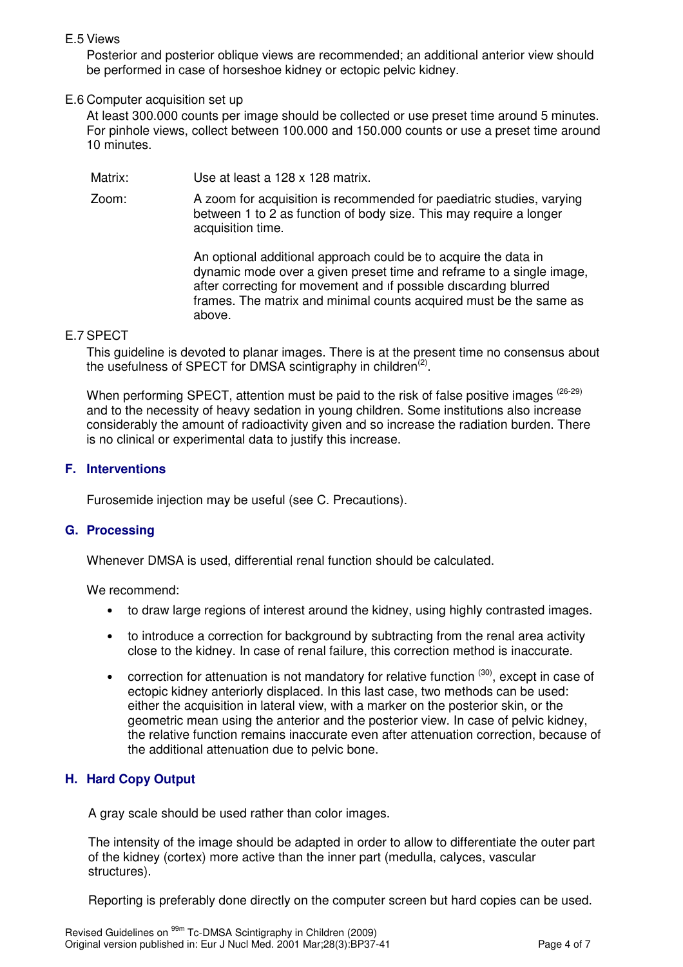E.5 Views

 Posterior and posterior oblique views are recommended; an additional anterior view should be performed in case of horseshoe kidney or ectopic pelvic kidney.

## E.6 Computer acquisition set up

At least 300.000 counts per image should be collected or use preset time around 5 minutes. For pinhole views, collect between 100.000 and 150.000 counts or use a preset time around 10 minutes.

Matrix: Use at least a 128 x 128 matrix.

Zoom: A zoom for acquisition is recommended for paediatric studies, varying between 1 to 2 as function of body size. This may require a longer acquisition time.

> An optional additional approach could be to acquire the data in dynamic mode over a given preset time and reframe to a single image, after correcting for movement and ıf possıble dıscardıng blurred frames. The matrix and minimal counts acquired must be the same as above.

#### E.7 SPECT

This guideline is devoted to planar images. There is at the present time no consensus about the usefulness of SPECT for DMSA scintigraphy in children<sup>(2)</sup>.

When performing SPECT, attention must be paid to the risk of false positive images (26-29) and to the necessity of heavy sedation in young children. Some institutions also increase considerably the amount of radioactivity given and so increase the radiation burden. There is no clinical or experimental data to justify this increase.

#### **F. Interventions**

Furosemide injection may be useful (see C. Precautions).

#### **G. Processing**

Whenever DMSA is used, differential renal function should be calculated.

We recommend:

- to draw large regions of interest around the kidney, using highly contrasted images.
- to introduce a correction for background by subtracting from the renal area activity close to the kidney. In case of renal failure, this correction method is inaccurate.
- correction for attenuation is not mandatory for relative function  $(30)$ , except in case of ectopic kidney anteriorly displaced. In this last case, two methods can be used: either the acquisition in lateral view, with a marker on the posterior skin, or the geometric mean using the anterior and the posterior view. In case of pelvic kidney, the relative function remains inaccurate even after attenuation correction, because of the additional attenuation due to pelvic bone.

## **H. Hard Copy Output**

A gray scale should be used rather than color images.

The intensity of the image should be adapted in order to allow to differentiate the outer part of the kidney (cortex) more active than the inner part (medulla, calyces, vascular structures).

Reporting is preferably done directly on the computer screen but hard copies can be used.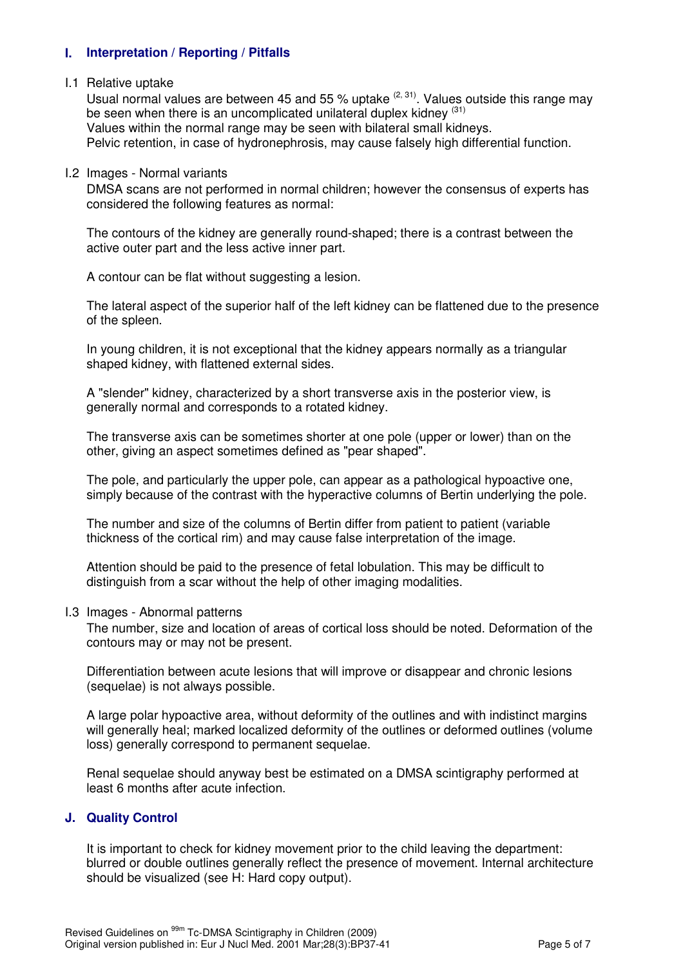## **I. Interpretation / Reporting / Pitfalls**

## I.1 Relative uptake

Usual normal values are between 45 and 55 % uptake  $(2, 31)$ . Values outside this range may be seen when there is an uncomplicated unilateral duplex kidney  $^{(31)}$ Values within the normal range may be seen with bilateral small kidneys. Pelvic retention, in case of hydronephrosis, may cause falsely high differential function.

#### I.2 Images - Normal variants

 DMSA scans are not performed in normal children; however the consensus of experts has considered the following features as normal:

The contours of the kidney are generally round-shaped; there is a contrast between the active outer part and the less active inner part.

A contour can be flat without suggesting a lesion.

The lateral aspect of the superior half of the left kidney can be flattened due to the presence of the spleen.

In young children, it is not exceptional that the kidney appears normally as a triangular shaped kidney, with flattened external sides.

A "slender" kidney, characterized by a short transverse axis in the posterior view, is generally normal and corresponds to a rotated kidney.

The transverse axis can be sometimes shorter at one pole (upper or lower) than on the other, giving an aspect sometimes defined as "pear shaped".

The pole, and particularly the upper pole, can appear as a pathological hypoactive one, simply because of the contrast with the hyperactive columns of Bertin underlying the pole.

The number and size of the columns of Bertin differ from patient to patient (variable thickness of the cortical rim) and may cause false interpretation of the image.

Attention should be paid to the presence of fetal lobulation. This may be difficult to distinguish from a scar without the help of other imaging modalities.

#### I.3 Images - Abnormal patterns

 The number, size and location of areas of cortical loss should be noted. Deformation of the contours may or may not be present.

Differentiation between acute lesions that will improve or disappear and chronic lesions (sequelae) is not always possible.

A large polar hypoactive area, without deformity of the outlines and with indistinct margins will generally heal; marked localized deformity of the outlines or deformed outlines (volume loss) generally correspond to permanent sequelae.

Renal sequelae should anyway best be estimated on a DMSA scintigraphy performed at least 6 months after acute infection.

## **J. Quality Control**

It is important to check for kidney movement prior to the child leaving the department: blurred or double outlines generally reflect the presence of movement. Internal architecture should be visualized (see H: Hard copy output).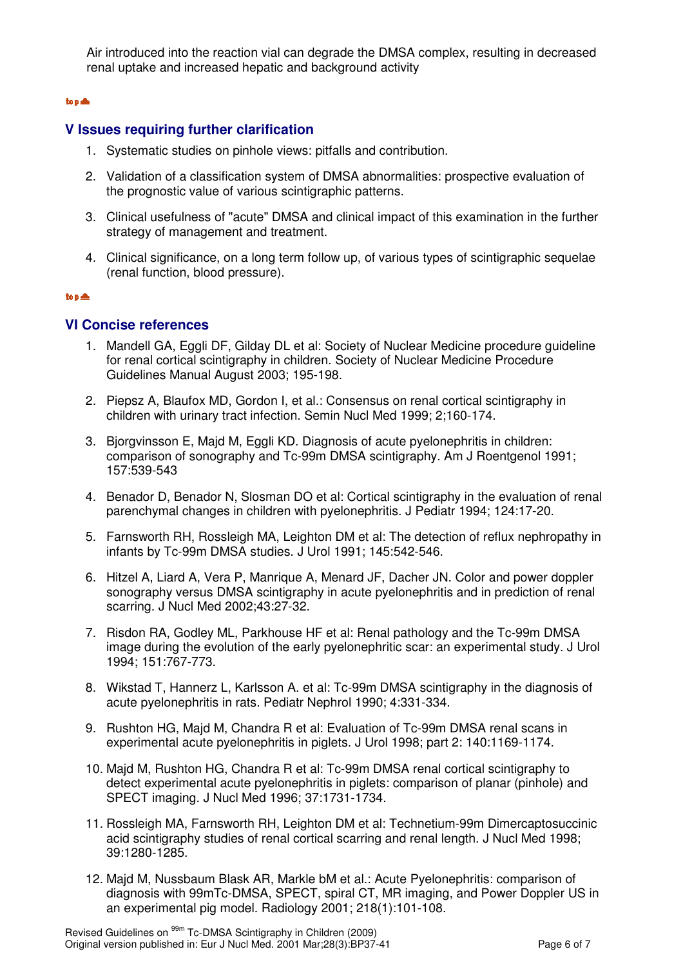Air introduced into the reaction vial can degrade the DMSA complex, resulting in decreased renal uptake and increased hepatic and background activity

#### to a  $\triangle$

## **V Issues requiring further clarification**

- 1. Systematic studies on pinhole views: pitfalls and contribution.
- 2. Validation of a classification system of DMSA abnormalities: prospective evaluation of the prognostic value of various scintigraphic patterns.
- 3. Clinical usefulness of "acute" DMSA and clinical impact of this examination in the further strategy of management and treatment.
- 4. Clinical significance, on a long term follow up, of various types of scintigraphic sequelae (renal function, blood pressure).

#### to  $p \triangleq$

## **VI Concise references**

- 1. Mandell GA, Eggli DF, Gilday DL et al: Society of Nuclear Medicine procedure guideline for renal cortical scintigraphy in children. Society of Nuclear Medicine Procedure Guidelines Manual August 2003; 195-198.
- 2. Piepsz A, Blaufox MD, Gordon I, et al.: Consensus on renal cortical scintigraphy in children with urinary tract infection. Semin Nucl Med 1999; 2;160-174.
- 3. Bjorgvinsson E, Majd M, Eggli KD. Diagnosis of acute pyelonephritis in children: comparison of sonography and Tc-99m DMSA scintigraphy. Am J Roentgenol 1991; 157:539-543
- 4. Benador D, Benador N, Slosman DO et al: Cortical scintigraphy in the evaluation of renal parenchymal changes in children with pyelonephritis. J Pediatr 1994; 124:17-20.
- 5. Farnsworth RH, Rossleigh MA, Leighton DM et al: The detection of reflux nephropathy in infants by Tc-99m DMSA studies. J Urol 1991; 145:542-546.
- 6. Hitzel A, Liard A, Vera P, Manrique A, Menard JF, Dacher JN. Color and power doppler sonography versus DMSA scintigraphy in acute pyelonephritis and in prediction of renal scarring. J Nucl Med 2002;43:27-32.
- 7. Risdon RA, Godley ML, Parkhouse HF et al: Renal pathology and the Tc-99m DMSA image during the evolution of the early pyelonephritic scar: an experimental study. J Urol 1994; 151:767-773.
- 8. Wikstad T, Hannerz L, Karlsson A. et al: Tc-99m DMSA scintigraphy in the diagnosis of acute pyelonephritis in rats. Pediatr Nephrol 1990; 4:331-334.
- 9. Rushton HG, Majd M, Chandra R et al: Evaluation of Tc-99m DMSA renal scans in experimental acute pyelonephritis in piglets. J Urol 1998; part 2: 140:1169-1174.
- 10. Majd M, Rushton HG, Chandra R et al: Tc-99m DMSA renal cortical scintigraphy to detect experimental acute pyelonephritis in piglets: comparison of planar (pinhole) and SPECT imaging. J Nucl Med 1996; 37:1731-1734.
- 11. Rossleigh MA, Farnsworth RH, Leighton DM et al: Technetium-99m Dimercaptosuccinic acid scintigraphy studies of renal cortical scarring and renal length. J Nucl Med 1998; 39:1280-1285.
- 12. Majd M, Nussbaum Blask AR, Markle bM et al.: Acute Pyelonephritis: comparison of diagnosis with 99mTc-DMSA, SPECT, spiral CT, MR imaging, and Power Doppler US in an experimental pig model. Radiology 2001; 218(1):101-108.